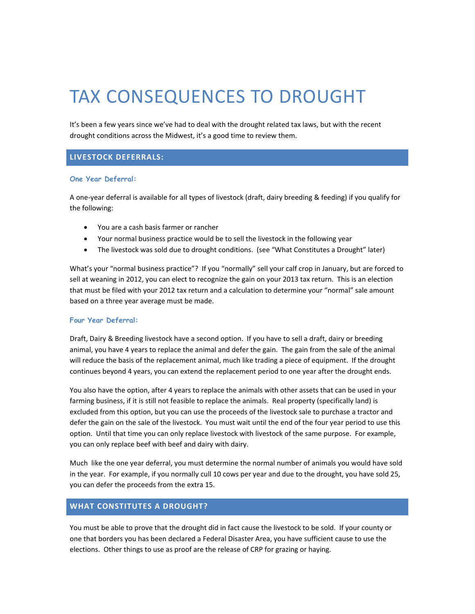# TAX CONSEQUENCES TO DROUGHT

It's been a few years since we've had to deal with the drought related tax laws, but with the recent drought conditions across the Midwest, it's a good time to review them.

### **LIVESTOCK DEFERRALS:**

#### **One Year Deferral:**

A one‐year deferral is available for all types of livestock (draft, dairy breeding & feeding) if you qualify for the following:

- You are a cash basis farmer or rancher
- Your normal business practice would be to sell the livestock in the following year
- The livestock was sold due to drought conditions. (see "What Constitutes a Drought" later)

What's your "normal business practice"? If you "normally" sell your calf crop in January, but are forced to sell at weaning in 2012, you can elect to recognize the gain on your 2013 tax return. This is an election that must be filed with your 2012 tax return and a calculation to determine your "normal" sale amount based on a three year average must be made.

#### **Four Year Deferral:**

Draft, Dairy & Breeding livestock have a second option. If you have to sell a draft, dairy or breeding animal, you have 4 years to replace the animal and defer the gain. The gain from the sale of the animal will reduce the basis of the replacement animal, much like trading a piece of equipment. If the drought continues beyond 4 years, you can extend the replacement period to one year after the drought ends.

You also have the option, after 4 years to replace the animals with other assets that can be used in your farming business, if it is still not feasible to replace the animals. Real property (specifically land) is excluded from this option, but you can use the proceeds of the livestock sale to purchase a tractor and defer the gain on the sale of the livestock. You must wait until the end of the four year period to use this option. Until that time you can only replace livestock with livestock of the same purpose. For example, you can only replace beef with beef and dairy with dairy.

Much like the one year deferral, you must determine the normal number of animals you would have sold in the year. For example, if you normally cull 10 cows per year and due to the drought, you have sold 25, you can defer the proceeds from the extra 15.

#### **WHAT CONSTITUTES A DROUGHT?**

You must be able to prove that the drought did in fact cause the livestock to be sold. If your county or one that borders you has been declared a Federal Disaster Area, you have sufficient cause to use the elections. Other things to use as proof are the release of CRP for grazing or haying.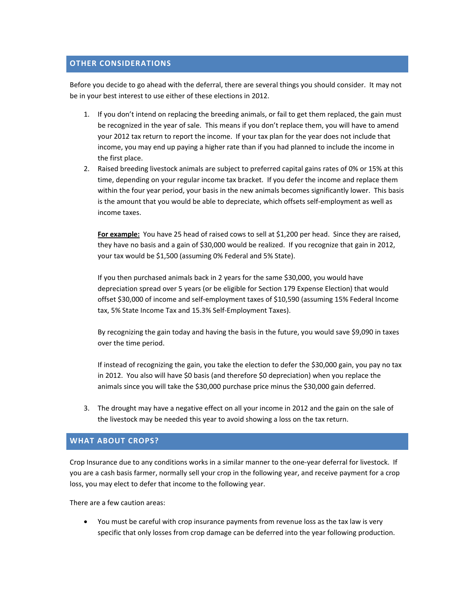## **OTHER CONSIDERATIONS**

Before you decide to go ahead with the deferral, there are several things you should consider. It may not be in your best interest to use either of these elections in 2012.

- 1. If you don't intend on replacing the breeding animals, or fail to get them replaced, the gain must be recognized in the year of sale. This means if you don't replace them, you will have to amend your 2012 tax return to report the income. If your tax plan for the year does not include that income, you may end up paying a higher rate than if you had planned to include the income in the first place.
- 2. Raised breeding livestock animals are subject to preferred capital gains rates of 0% or 15% at this time, depending on your regular income tax bracket. If you defer the income and replace them within the four year period, your basis in the new animals becomes significantly lower. This basis is the amount that you would be able to depreciate, which offsets self-employment as well as income taxes.

**For example:** You have 25 head of raised cows to sell at \$1,200 per head. Since they are raised, they have no basis and a gain of \$30,000 would be realized. If you recognize that gain in 2012, your tax would be \$1,500 (assuming 0% Federal and 5% State).

If you then purchased animals back in 2 years for the same \$30,000, you would have depreciation spread over 5 years (or be eligible for Section 179 Expense Election) that would offset \$30,000 of income and self‐employment taxes of \$10,590 (assuming 15% Federal Income tax, 5% State Income Tax and 15.3% Self‐Employment Taxes).

By recognizing the gain today and having the basis in the future, you would save \$9,090 in taxes over the time period.

If instead of recognizing the gain, you take the election to defer the \$30,000 gain, you pay no tax in 2012. You also will have \$0 basis (and therefore \$0 depreciation) when you replace the animals since you will take the \$30,000 purchase price minus the \$30,000 gain deferred.

3. The drought may have a negative effect on all your income in 2012 and the gain on the sale of the livestock may be needed this year to avoid showing a loss on the tax return.

#### **WHAT ABOUT CROPS?**

Crop Insurance due to any conditions works in a similar manner to the one‐year deferral for livestock. If you are a cash basis farmer, normally sell your crop in the following year, and receive payment for a crop loss, you may elect to defer that income to the following year.

There are a few caution areas:

 You must be careful with crop insurance payments from revenue loss as the tax law is very specific that only losses from crop damage can be deferred into the year following production.